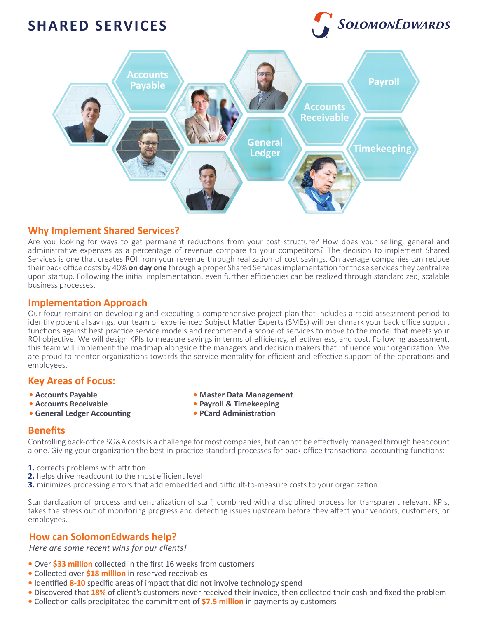## **SHARED SERVICES**





### **Why Implement Shared Services?**

Are you looking for ways to get permanent reductions from your cost structure? How does your selling, general and administrative expenses as a percentage of revenue compare to your competitors? The decision to implement Shared Services is one that creates ROI from your revenue through realization of cost savings. On average companies can reduce their back office costs by 40% **on day one** through a proper Shared Services implementation for those services they centralize upon startup. Following the initial implementation, even further efficiencies can be realized through standardized, scalable business processes.

### **Implementation Approach**

Our focus remains on developing and executing a comprehensive project plan that includes a rapid assessment period to identify potential savings. our team of experienced Subject Matter Experts (SMEs) will benchmark your back office support functions against best practice service models and recommend a scope of services to move to the model that meets your ROI objective. We will design KPIs to measure savings in terms of efficiency, effectiveness, and cost. Following assessment, this team will implement the roadmap alongside the managers and decision makers that influence your organization. We are proud to mentor organizations towards the service mentality for efficient and effective support of the operations and employees.

### **Key Areas of Focus:**

- **Accounts Payable**
- **Accounts Receivable**
- **General Ledger Accounting**
- **Master Data Management**
- **Payroll & Timekeeping**
- **PCard Administration**

### **Benefits**

Controlling back-office SG&A costs is a challenge for most companies, but cannot be effectively managed through headcount alone. Giving your organization the best-in-practice standard processes for back-office transactional accounting functions:

- **1.** corrects problems with attrition
- **2.** helps drive headcount to the most efficient level
- **3.** minimizes processing errors that add embedded and difficult-to-measure costs to your organization

Standardization of process and centralization of staff, combined with a disciplined process for transparent relevant KPIs, takes the stress out of monitoring progress and detecting issues upstream before they affect your vendors, customers, or employees.

### **How can SolomonEdwards help?**

*Here are some recent wins for our clients!*

- **•** Over **\$33 million** collected in the first 16 weeks from customers
- **•** Collected over **\$18 million** in reserved receivables
- **•** Identified **8-10** specific areas of impact that did not involve technology spend
- Discovered that **18%** of client's customers never received their invoice, then collected their cash and fixed the problem
- **•** Collection calls precipitated the commitment of **\$7.5 million** in payments by customers